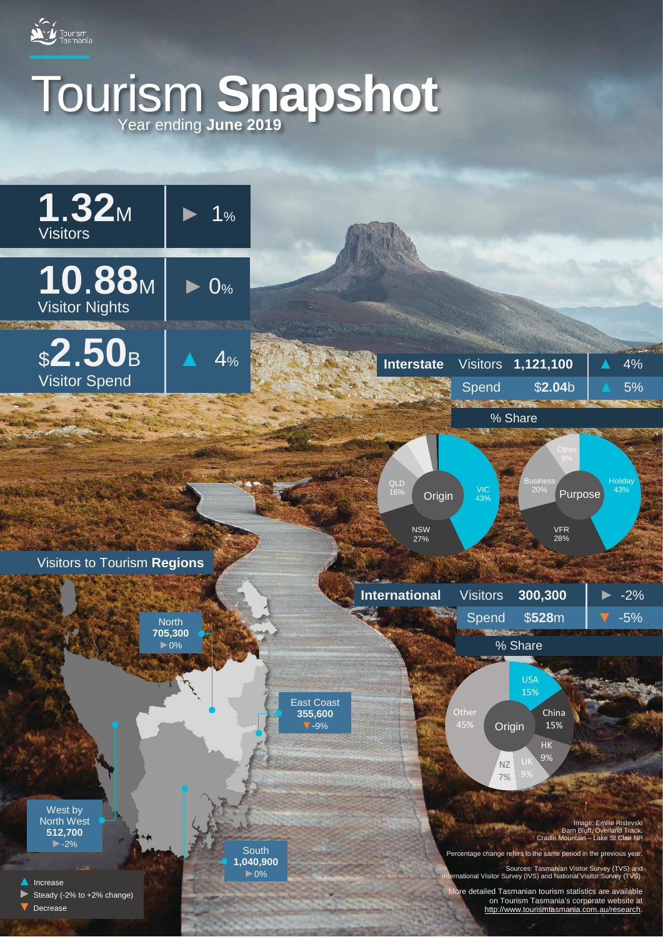

# Tourism **Snapshot** Year ending **June 2019**

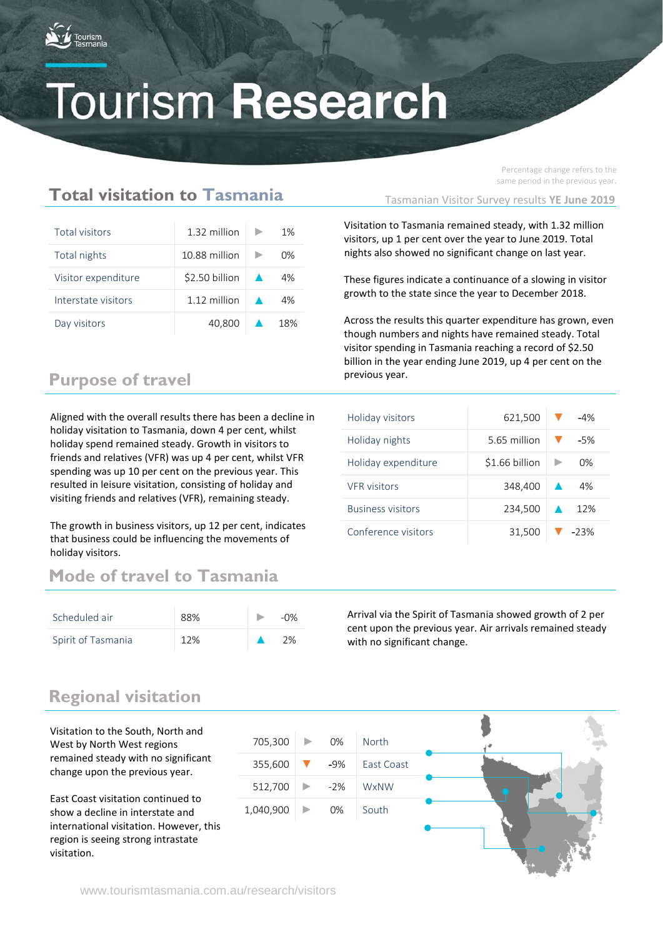

Percentage change refers to the same period in the previous year.

## **Total visitation to Tasmania**

| Total visitors      | 1.32 million    |                  | 1%             |
|---------------------|-----------------|------------------|----------------|
| Total nights        | 10.88 million   |                  | 0 <sub>%</sub> |
| Visitor expenditure | $$2.50$ billion | $\blacktriangle$ | 4%             |
| Interstate visitors | 1.12 million    |                  | 4%             |
| Day visitors        | 40.800          |                  | 18%            |

## **Purpose of travel**

Aligned with the overall results there has been a decline in holiday visitation to Tasmania, down 4 per cent, whilst holiday spend remained steady. Growth in visitors to friends and relatives (VFR) was up 4 per cent, whilst VFR spending was up 10 per cent on the previous year. This resulted in leisure visitation, consisting of holiday and visiting friends and relatives (VFR), remaining steady.

that business could be influencing the movements of The growth in business visitors, up 12 per cent, indicates holiday visitors.

## **Mode of travel to Tasmania**

| Scheduled air      | 88% | $-0\%$ |
|--------------------|-----|--------|
| Spirit of Tasmania | 12% | 2%     |

Tasmanian Visitor Survey results **YE June 2019**

Visitation to Tasmania remained steady, with 1.32 million visitors, up 1 per cent over the year to June 2019. Total nights also showed no significant change on last year.

These figures indicate a continuance of a slowing in visitor growth to the state since the year to December 2018.

Across the results this quarter expenditure has grown, even though numbers and nights have remained steady. Total visitor spending in Tasmania reaching a record of \$2.50 billion in the year ending June 2019, up 4 per cent on the previous year.

| Holiday visitors         | 621,500        | $-4%$  |
|--------------------------|----------------|--------|
| Holiday nights           | 5.65 million   | $-5%$  |
| Holiday expenditure      | \$1.66 billion | 0%     |
| <b>VFR</b> visitors      | 348,400        | 4%     |
| <b>Business visitors</b> | 234,500        | 12%    |
| Conference visitors      | 31,500         | $-23%$ |

Arrival via the Spirit of Tasmania showed growth of 2 per cent upon the previous year. Air arrivals remained steady with no significant change.

## **Regional visitation**

Visitation to the South, North and West by North West regions remained steady with no significant change upon the previous year.

East Coast visitation continued to show a decline in interstate and international visitation. However, this region is seeing strong intrastate visitation.

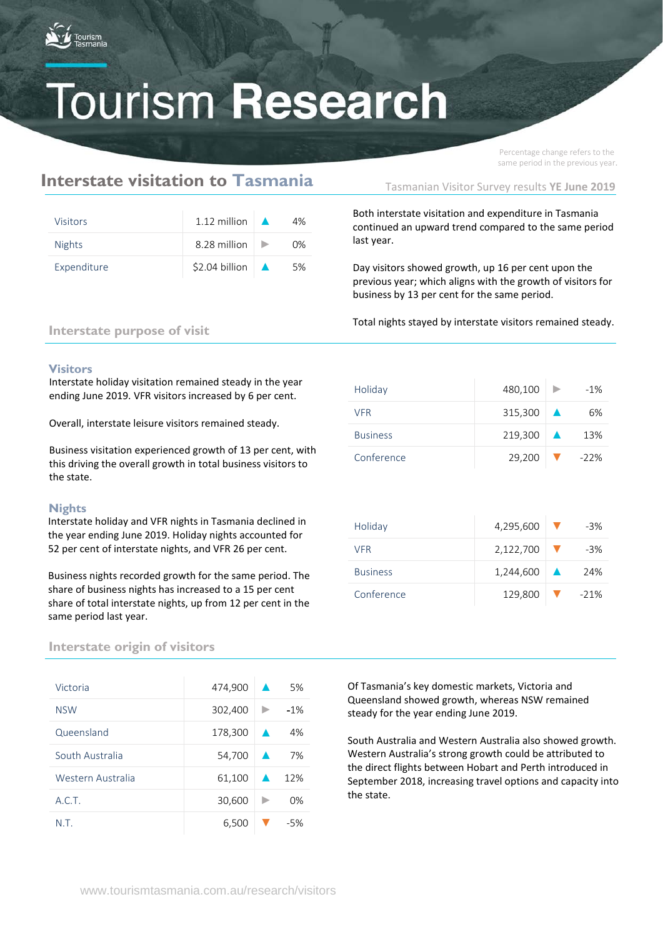

Percentage change refers to the same period in the previous year.

## **Interstate visitation to Tasmania**

| <b>Visitors</b> | 1.12 million $\blacksquare$        | 4% |
|-----------------|------------------------------------|----|
| <b>Nights</b>   | 8.28 million $\blacktriangleright$ | በ% |
| Expenditure     | $$2.04$ billion $\Delta$           | 5% |

Tasmanian Visitor Survey results **YE June 2019**

Both interstate visitation and expenditure in Tasmania continued an upward trend compared to the same period last year.

Day visitors showed growth, up 16 per cent upon the previous year; which aligns with the growth of visitors for business by 13 per cent for the same period.

Total nights stayed by interstate visitors remained steady.

### **Interstate purpose of visit**

### **Visitors**

Interstate holiday visitation remained steady in the year ending June 2019. VFR visitors increased by 6 per cent.

Overall, interstate leisure visitors remained steady.

Business visitation experienced growth of 13 per cent, with this driving the overall growth in total business visitors to the state.

### **Nights**

Interstate holiday and VFR nights in Tasmania declined in the year ending June 2019. Holiday nights accounted for 52 per cent of interstate nights, and VFR 26 per cent.

Business nights recorded growth for the same period. The share of business nights has increased to a 15 per cent share of total interstate nights, up from 12 per cent in the same period last year.

### **Interstate origin of visitors**

| Victoria          | 474,900 |                  | 5%    |
|-------------------|---------|------------------|-------|
| <b>NSW</b>        | 302,400 |                  | $-1%$ |
| Queensland        | 178,300 |                  | 4%    |
| South Australia   | 54,700  | $\blacktriangle$ | 7%    |
| Western Australia | 61,100  |                  | 12%   |
| A.C.T.            | 30,600  |                  | 0%    |
| N.T.              | 6,500   |                  | $-5%$ |

| Holiday         | 480,100               | $\rightarrow$ | $-1\%$  |
|-----------------|-----------------------|---------------|---------|
| <b>VFR</b>      | $315,300$ $\triangle$ |               | 6%      |
| <b>Business</b> | $219,300$ $\triangle$ |               | 13%     |
| Conference      | 29,200                |               | $-22\%$ |

| Holiday         | 4,295,600          | -3%    |
|-----------------|--------------------|--------|
| <b>VFR</b>      | 2,122,700          | -3%    |
| <b>Business</b> | $1,244,600 \Delta$ | 24%    |
| Conference      | 129,800            | $-21%$ |

Of Tasmania's key domestic markets, Victoria and Queensland showed growth, whereas NSW remained steady for the year ending June 2019.

South Australia and Western Australia also showed growth. Western Australia's strong growth could be attributed to the direct flights between Hobart and Perth introduced in September 2018, increasing travel options and capacity into the state.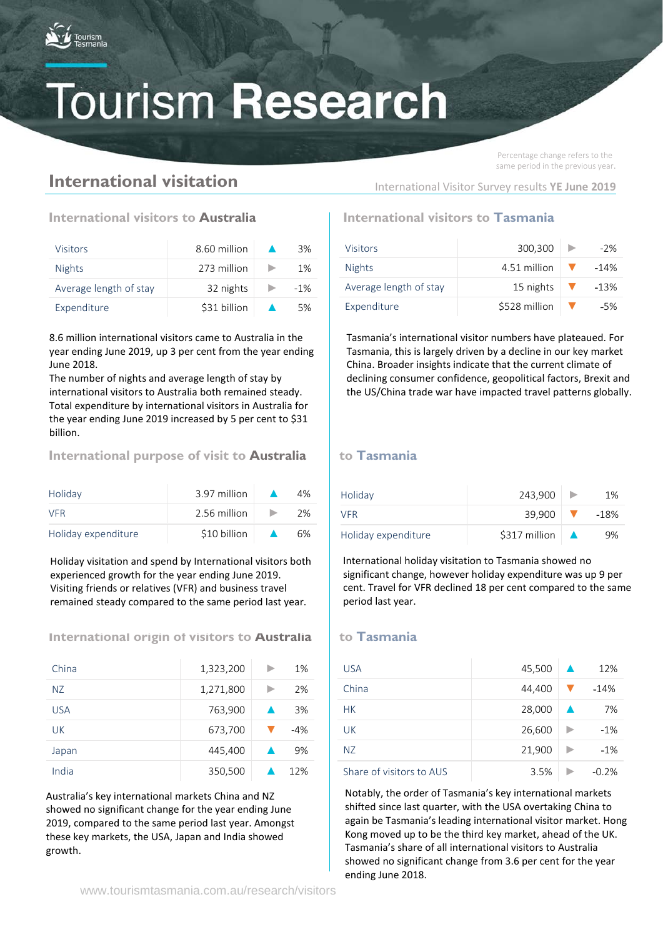

## **International visitation**

Percentage change refers to the same period in the previous year.

## **International visitors to Australia International visitors to Tasmania**

| <b>Visitors</b>        | 8.60 million | 3%     |
|------------------------|--------------|--------|
| <b>Nights</b>          | 273 million  | $1\%$  |
| Average length of stay | 32 nights    | $-1\%$ |
| Expenditure            | \$31 billion | 5%     |

8.6 million international visitors came to Australia in the year ending June 2019, up 3 per cent from the year ending June 2018.

The number of nights and average length of stay by international visitors to Australia both remained steady. Total expenditure by international visitors in Australia for the year ending June 2019 increased by 5 per cent to \$31 billion.

### **International purpose of visit to Australia** | to Tasmania

| Holiday             | 3.97 million | 4% |
|---------------------|--------------|----|
| <b>VFR</b>          | 2.56 million | 2% |
| Holiday expenditure | \$10 billion | 6% |

Holiday visitation and spend by International visitors both experienced growth for the year ending June 2019. Visiting friends or relatives (VFR) and business travel remained steady compared to the same period last year.

### **International origin of visitors to Australia** | to Tasmania

| China      | 1,323,200 | 1%    |
|------------|-----------|-------|
| NZ.        | 1,271,800 | 2%    |
| <b>USA</b> | 763,900   | 3%    |
| UK         | 673,700   | $-4%$ |
| Japan      | 445,400   | 9%    |
| India      | 350,500   | 12%   |

Australia's key international markets China and NZ showed no significant change for the year ending June 2019, compared to the same period last year. Amongst these key markets, the USA, Japan and India showed growth.

| Visitors               | 300,300       | $-2%$  |
|------------------------|---------------|--------|
| <b>Nights</b>          | 4.51 million  | $-14%$ |
| Average length of stay | 15 nights     | $-13%$ |
| Expenditure            | \$528 million | $-5%$  |

International Visitor Survey results **YE June 2019**

Tasmania's international visitor numbers have plateaued. For Tasmania, this is largely driven by a decline in our key market China. Broader insights indicate that the current climate of declining consumer confidence, geopolitical factors, Brexit and the US/China trade war have impacted travel patterns globally.

| Holiday             | 243.900       | 1%     |
|---------------------|---------------|--------|
| VFR                 | 39.900        | $-18%$ |
| Holiday expenditure | \$317 million | 9%     |

International holiday visitation to Tasmania showed no significant change, however holiday expenditure was up 9 per cent. Travel for VFR declined 18 per cent compared to the same period last year.

| <b>USA</b>               | 45,500 | 12%     |
|--------------------------|--------|---------|
| China                    | 44,400 | $-14%$  |
| <b>HK</b>                | 28,000 | 7%      |
| UK                       | 26,600 | $-1%$   |
| <b>NZ</b>                | 21,900 | $-1%$   |
| Share of visitors to AUS | 3.5%   | $-0.2%$ |

Notably, the order of Tasmania's key international markets shifted since last quarter, with the USA overtaking China to again be Tasmania's leading international visitor market. Hong Kong moved up to be the third key market, ahead of the UK. Tasmania's share of all international visitors to Australia showed no significant change from 3.6 per cent for the year ending June 2018.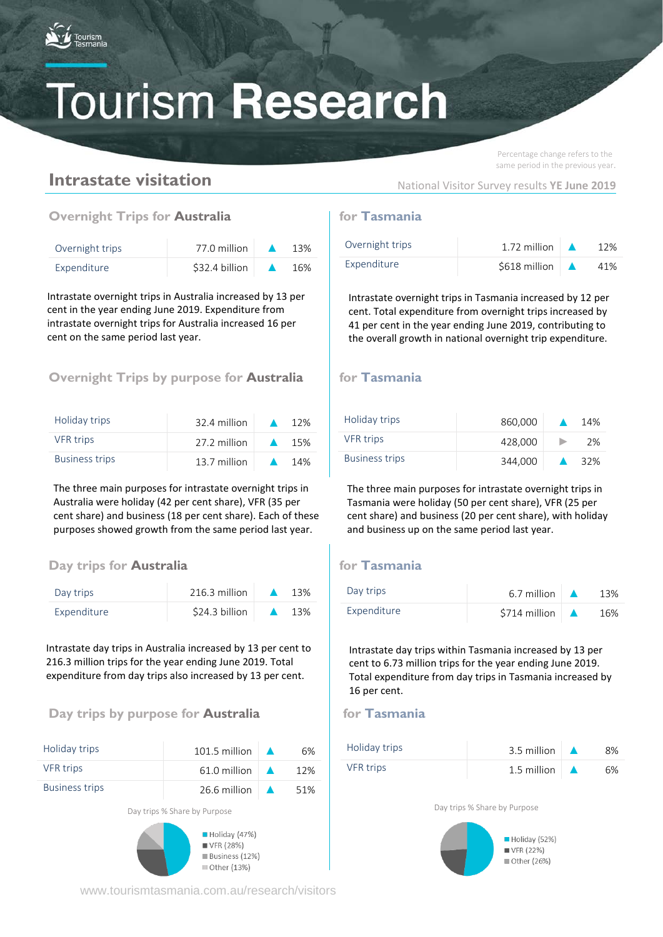

Percentage change refers to the same period in the previous year.

## **Intrastate visitation**

National Visitor Survey results **YE June 2019**

## **Overnight Trips for Australia for Tasmania**

| Overnight trips | 77.0 million   | 13% |
|-----------------|----------------|-----|
| Expenditure     | \$32.4 billion | 16% |

Intrastate overnight trips in Australia increased by 13 per cent in the year ending June 2019. Expenditure from intrastate overnight trips for Australia increased 16 per cent on the same period last year.

## **Overnight Trips by purpose for Australia** for Tasmania

| Holiday trips         | 32.4 million |                  | 12% |
|-----------------------|--------------|------------------|-----|
| <b>VFR</b> trips      | 27.2 million | $\blacktriangle$ | 15% |
| <b>Business trips</b> | 13.7 million | $\blacktriangle$ | 14% |

The three main purposes for intrastate overnight trips in Australia were holiday (42 per cent share), VFR (35 per cent share) and business (18 per cent share). Each of these purposes showed growth from the same period last year.

## **Day** trips for **Australia for Tasmania**

| Day trips   | 216.3 million  | 13% |
|-------------|----------------|-----|
| Expenditure | \$24.3 billion | 13% |

Intrastate day trips in Australia increased by 13 per cent to 216.3 million trips for the year ending June 2019. Total expenditure from day trips also increased by 13 per cent.

## **Day trips by purpose for Australia discript of the Tasmania**

| Holiday trips         | 101.5 million                            | 6%  |
|-----------------------|------------------------------------------|-----|
| <b>VFR</b> trips      | 61.0 million                             | 12% |
| <b>Business trips</b> | 26.6 million $\Delta$                    | 51% |
|                       | Day trips % Share by Purpose             |     |
|                       | $\blacksquare$ Holiday (47%)<br>WFR(28%) |     |

www.tourismtasmania.com.au/research/visitors

Business (12%)

■ Other (13%)

| Overnight trips | 1.72 million  | 12% |
|-----------------|---------------|-----|
| Expenditure     | \$618 million | 41% |

Intrastate overnight trips in Tasmania increased by 12 per cent. Total expenditure from overnight trips increased by 41 per cent in the year ending June 2019, contributing to the overall growth in national overnight trip expenditure.

| Holiday trips         | 860,000 | 14% |
|-----------------------|---------|-----|
| <b>VFR</b> trips      | 428,000 | 2%  |
| <b>Business trips</b> | 344,000 | 32% |

The three main purposes for intrastate overnight trips in Tasmania were holiday (50 per cent share), VFR (25 per cent share) and business (20 per cent share), with holiday and business up on the same period last year.

| Day trips   | 6.7 million   | 13% |
|-------------|---------------|-----|
| Expenditure | \$714 million | 16% |

Intrastate day trips within Tasmania increased by 13 per cent to 6.73 million trips for the year ending June 2019. Total expenditure from day trips in Tasmania increased by 16 per cent.



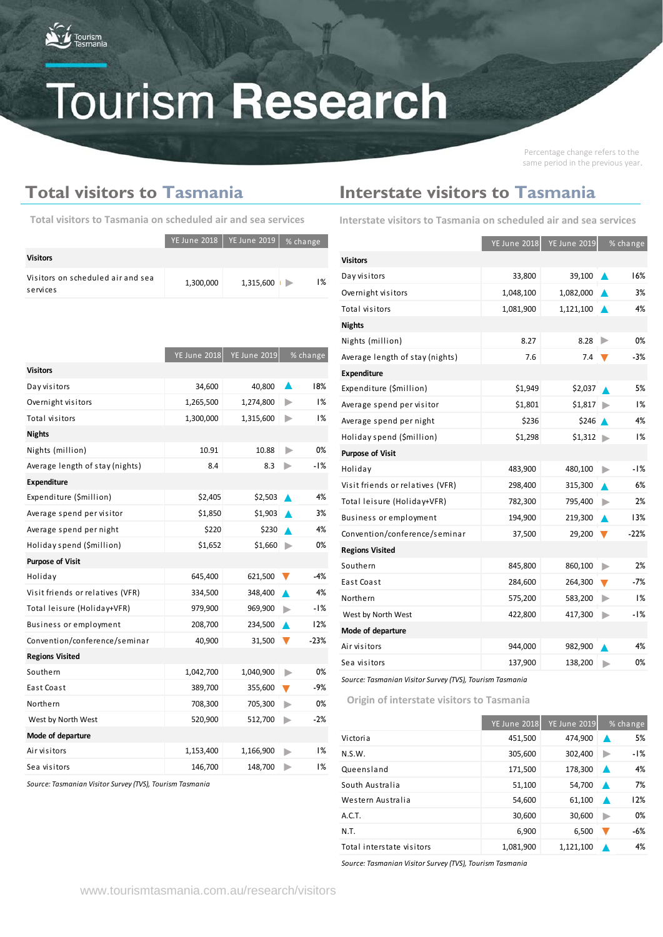

Percentage change refers to the same period in the previous year.

## **Total visitors to Tasmania**

|                                               |           | YE June 2018   YE June 2019 | $%$ change |       |
|-----------------------------------------------|-----------|-----------------------------|------------|-------|
| <b>Visitors</b>                               |           |                             |            |       |
| Visitors on scheduled air and sea<br>services | 1,300,000 | 1,315,600                   |            | $1\%$ |

| <b>Interstate visitors to Tasmania</b> |  |  |
|----------------------------------------|--|--|
|                                        |  |  |

**Table 3. Interstate visitors to Tasmania on scheduled air and sea Total visitors to Tasmania on scheduled air and sea services Interstate visitors to Tasmania on scheduled air and sea services**

|                                  | <b>YE June 2018</b> | <b>YE June 2019</b> |   | % change |
|----------------------------------|---------------------|---------------------|---|----------|
| <b>Visitors</b>                  |                     |                     |   |          |
| Day visitors                     | 33,800              | 39,100              |   | 16%      |
| Overnight visitors               | 1,048,100           | 1,082,000           |   | 3%       |
| Total visitors                   | 1,081,900           | 1,121,100           |   | 4%       |
| <b>Nights</b>                    |                     |                     |   |          |
| Nights (million)                 | 8.27                | 8.28                |   | 0%       |
| Average length of stay (nights)  | 7.6                 | 7.4                 |   | $-3%$    |
| <b>Expenditure</b>               |                     |                     |   |          |
| Expenditure (\$million)          | \$1,949             | \$2,037             |   | 5%       |
| Average spend per visitor        | \$1,801             | \$1,817             |   | 1%       |
| Average spend per night          | \$236               | \$246               |   | 4%       |
| Holiday spend (\$million)        | \$1,298             | \$1,312             | ▶ | 1%       |
| <b>Purpose of Visit</b>          |                     |                     |   |          |
| Holiday                          | 483,900             | 480,100             |   | -1%      |
| Visit friends or relatives (VFR) | 298,400             | 315,300             |   | 6%       |
| Total leisure (Holiday+VFR)      | 782,300             | 795,400             |   | 2%       |
| Business or employment           | 194,900             | 219,300             |   | 13%      |
| Convention/conference/seminar    | 37,500              | 29,200              |   | $-22%$   |
| <b>Regions Visited</b>           |                     |                     |   |          |
| Southern                         | 845,800             | 860,100             | ь | 2%       |
| East Coast                       | 284,600             | 264,300             | v | -7%      |
| Northern                         | 575,200             | 583,200             | ▶ | 1%       |
| West by North West               | 422,800             | 417,300             | ь | -1%      |
| Mode of departure                |                     |                     |   |          |
| Air visitors                     | 944,000             | 982,900             |   | 4%       |
| Sea visitors                     | 137,900             | 138,200             |   | 0%       |

*Source: Tasmanian Visitor Survey (TVS), Tourism Tasmania*

**Table 4. Origin of interstate visitors to Tasmania Origin of interstate visitors to Tasmania** 

|                           | <b>YE June 2018</b> | <b>YE June 2019</b> | % change |
|---------------------------|---------------------|---------------------|----------|
| Victoria                  | 451,500             | 474,900             | 5%       |
| N.S.W.                    | 305,600             | 302,400             | -1%      |
| Queensland                | 171,500             | 178,300             | 4%<br>∙  |
| South Australia           | 51,100              | 54,700              | 7%       |
| Western Australia         | 54,600              | 61,100              | 12%<br>▴ |
| A.C.T.                    | 30,600              | 30,600              | 0%<br>D  |
| N.T.                      | 6,900               | 6,500               | -6%      |
| Total interstate visitors | 1,081,900           | 1,121,100           | 4%       |

*Source: Tasmanian Visitor Survey (TVS), Tourism Tasmania*

| <b>YE June 2018</b> | <b>YE June 2019</b> |   | % change |
|---------------------|---------------------|---|----------|
|                     |                     |   |          |
| 34,600              | 40,800              |   | 18%      |
| 1,265,500           | 1,274,800           | ▶ | 1%       |
| 1,300,000           | 1,315,600           | ▶ | 1%       |
|                     |                     |   |          |
| 10.91               | 10.88               | ▶ | 0%       |
| 8.4                 | 8.3                 | ▶ | -1%      |
|                     |                     |   |          |
| \$2,405             | \$2,503             |   | 4%       |
| \$1,850             | \$1,903             |   | 3%       |
| \$220               | \$230               |   | 4%       |
| \$1,652             | \$1,660             | ▶ | 0%       |
|                     |                     |   |          |
| 645,400             | 621,500             | v | $-4%$    |
| 334,500             | 348,400             |   | 4%       |
| 979,900             | 969,900             |   | $-1%$    |
| 208,700             | 234,500             |   | 12%      |
| 40,900              | 31,500              |   | $-23%$   |
|                     |                     |   |          |
| 1,042,700           | 1,040,900           | ▶ | 0%       |
| 389,700             | 355,600             |   | $-9%$    |
| 708,300             | 705,300             | ь | 0%       |
| 520,900             | 512,700             | ▶ | $-2%$    |
|                     |                     |   |          |
| 1,153,400           | 1,166,900           | ⊳ | 1%       |
| 146,700             | 148,700             |   | 1%       |
|                     |                     |   |          |

*Source: Tasmanian Visitor Survey (TVS), Tourism Tasmania*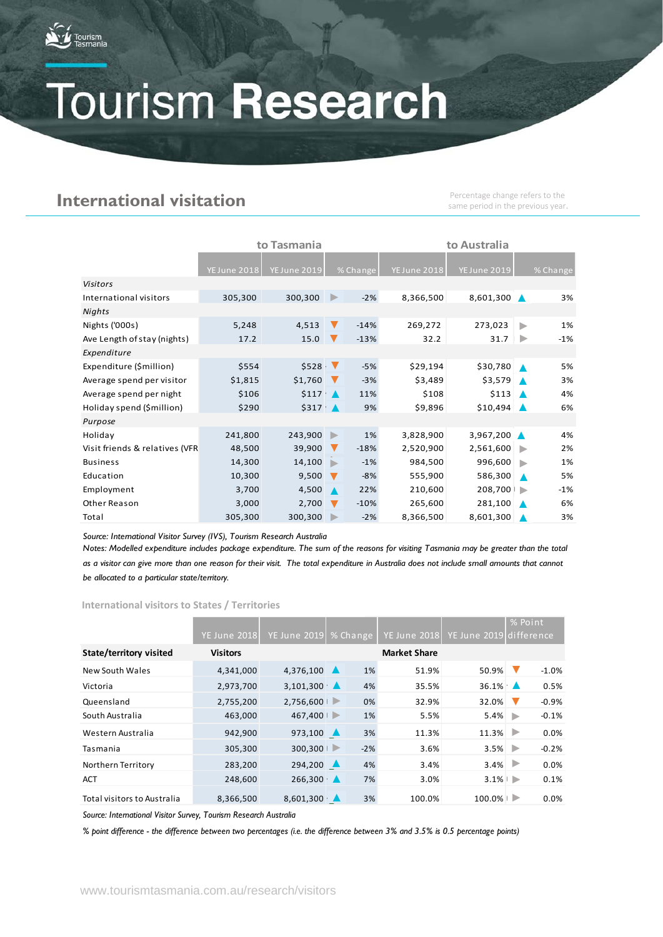

## **International visitation**

Percentage change refers to the same period in the previous year.

|                                | to Tasmania         |                    |                      |            | to Australia        |                     |   |            |  |
|--------------------------------|---------------------|--------------------|----------------------|------------|---------------------|---------------------|---|------------|--|
|                                |                     |                    |                      |            |                     |                     |   |            |  |
|                                | <b>YE June 2018</b> | YE June 2019       |                      | $%$ Change | <b>YE June 2018</b> | <b>YE June 2019</b> |   | $%$ Change |  |
| <b>Visitors</b>                |                     |                    |                      |            |                     |                     |   |            |  |
| International visitors         | 305,300             | 300,300            | ▶                    | $-2%$      | 8,366,500           | 8,601,300           |   | 3%         |  |
| Nights                         |                     |                    |                      |            |                     |                     |   |            |  |
| Nights ('000s)                 | 5,248               | 4,513              | $\blacktriangledown$ | $-14%$     | 269,272             | 273,023             | ь | 1%         |  |
| Ave Length of stay (nights)    | 17.2                | 15.0               | v                    | $-13%$     | 32.2                | 31.7                | ▶ | $-1%$      |  |
| Expenditure                    |                     |                    |                      |            |                     |                     |   |            |  |
| Expenditure (\$million)        | \$554               | \$528 <sub>1</sub> |                      | $-5%$      | \$29,194            | \$30,780            |   | 5%         |  |
| Average spend per visitor      | \$1,815             | \$1,760            |                      | $-3%$      | \$3,489             | \$3,579             |   | 3%         |  |
| Average spend per night        | \$106               | $$117 \Delta$      |                      | 11%        | \$108               | \$113               |   | 4%         |  |
| Holiday spend (\$million)      | \$290               | $$317$ $\triangle$ |                      | 9%         | \$9,896             | \$10,494            |   | 6%         |  |
| Purpose                        |                     |                    |                      |            |                     |                     |   |            |  |
| Holiday                        | 241,800             | 243,900            | ▶                    | 1%         | 3,828,900           | 3,967,200           |   | 4%         |  |
| Visit friends & relatives (VFR | 48,500              | 39,900             | v                    | $-18%$     | 2,520,900           | 2,561,600           |   | 2%         |  |
| <b>Business</b>                | 14,300              | 14,100             | ь                    | $-1%$      | 984,500             | 996,600             |   | 1%         |  |
| Education                      | 10,300              | 9,500              |                      | $-8%$      | 555,900             | 586,300             |   | 5%         |  |
| Employment                     | 3,700               | 4,500              |                      | 22%        | 210,600             | 208,700             |   | $-1%$      |  |
| Other Reason                   | 3,000               | 2,700              | $\blacktriangledown$ | $-10%$     | 265,600             | 281,100             |   | 6%         |  |
| Total                          | 305,300             | 300,300            |                      | $-2%$      | 8,366,500           | 8,601,300           |   | 3%         |  |

*Source: International Visitor Survey (IVS), Tourism Research Australia*

*Notes: Modelled expenditure includes package expenditure. The sum of the reasons for visiting Tasmania may be greater than the total as a visitor can give more than one reason for their visit. The total expenditure in Australia does not include small amounts that cannot be allocated to a particular state/territory.*

**International visitors to States / Territories**

|                             |                     |                         |                  |                       |                     |                     |   | % Point      |
|-----------------------------|---------------------|-------------------------|------------------|-----------------------|---------------------|---------------------|---|--------------|
|                             | <b>YE June 2018</b> | <b>YE June 2019</b>     |                  | <sup>1</sup> % Change | <b>YE June 2018</b> | <b>YE June 2019</b> |   | l difference |
| State/territory visited     | <b>Visitors</b>     |                         |                  |                       | <b>Market Share</b> |                     |   |              |
| New South Wales             | 4,341,000           | 4,376,100               | $\blacktriangle$ | 1%                    | 51.9%               | 50.9%               |   | $-1.0%$      |
| Victoria                    | 2,973,700           | 3,101,300               |                  | 4%                    | 35.5%               | $36.1\%$            |   | 0.5%         |
| Queensland                  | 2,755,200           | 2,756,600               | ▶                | 0%                    | 32.9%               | 32.0%               |   | $-0.9%$      |
| South Australia             | 463,000             | 467,400                 | ∍                | 1%                    | 5.5%                | 5.4%                | Þ | $-0.1%$      |
| Western Australia           | 942,900             | 973,100 $\triangle$     |                  | 3%                    | 11.3%               | 11.3%               |   | 0.0%         |
| Tasmania                    | 305,300             | 300,300                 |                  | $-2%$                 | 3.6%                | 3.5%                | ∍ | $-0.2%$      |
| Northern Territory          | 283,200             | 294,200                 |                  | 4%                    | 3.4%                | $3.4\%$             |   | 0.0%         |
| <b>ACT</b>                  | 248,600             | 266,300                 |                  | 7%                    | 3.0%                | $3.1\%$             |   | 0.1%         |
| Total visitors to Australia | 8,366,500           | $8,601,300$ $\triangle$ |                  | 3%                    | 100.0%              | 100.0%              |   | 0.0%         |

*Source: International Visitor Survey, Tourism Research Australia*

*% point difference - the difference between two percentages (i.e. the difference between 3% and 3.5% is 0.5 percentage points)*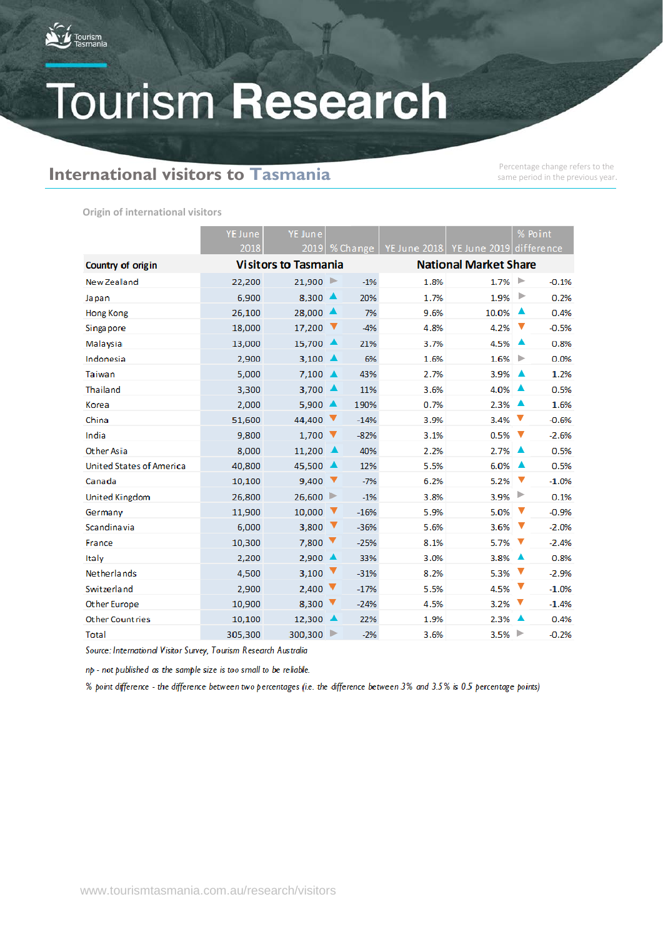

## **International visitors to Tasmania**

same period in the previous year.

**Origin of international visitors**

|                                 | <b>YE June</b> | YE June                         |   |        |                              |                                                          |   |         |  |  | % Point |  |
|---------------------------------|----------------|---------------------------------|---|--------|------------------------------|----------------------------------------------------------|---|---------|--|--|---------|--|
|                                 | 2018           |                                 |   |        |                              | 2019   % Change   YE June 2018   YE June 2019 difference |   |         |  |  |         |  |
| Country of origin               |                | <b>Visitors to Tasmania</b>     |   |        | <b>National Market Share</b> |                                                          |   |         |  |  |         |  |
| New Zealand                     | 22,200         | $21,900$ $\blacktriangleright$  |   | $-1%$  | 1.8%                         | $1.7\%$                                                  |   | $-0.1%$ |  |  |         |  |
| Japan                           | 6,900          | 8,300                           | ▲ | 20%    | 1.7%                         | 1.9%                                                     | ▶ | 0.2%    |  |  |         |  |
| Hong Kong                       | 26,100         | $28,000$ $\triangle$            |   | 7%     | 9.6%                         | 10.0%                                                    |   | 0.4%    |  |  |         |  |
| Singapore                       | 18,000         | 17,200                          | v | $-4%$  | 4.8%                         | 4.2%                                                     | ▼ | $-0.5%$ |  |  |         |  |
| Malaysia                        | 13,000         | 15,700 ▲                        |   | 21%    | 3.7%                         | 4.5%                                                     | ▴ | 0.8%    |  |  |         |  |
| Indonesia                       | 2,900          | 3,100 $\triangle$               |   | 6%     | 1.6%                         | 1.6%                                                     | ▶ | 0.0%    |  |  |         |  |
| Taiwan                          | 5,000          | 7,100                           | ▲ | 43%    | 2.7%                         | 3.9%                                                     | ▴ | 1.2%    |  |  |         |  |
| Thailand                        | 3,300          | 3,700 $\triangle$               |   | 11%    | 3.6%                         | 4.0%                                                     |   | 0.5%    |  |  |         |  |
| Korea                           | 2,000          | $5,900 \triangle$               |   | 190%   | 0.7%                         | 2.3%                                                     | ▲ | 1.6%    |  |  |         |  |
| China                           | 51,600         | 44,400                          | v | $-14%$ | 3.9%                         | 3.4%                                                     | v | $-0.6%$ |  |  |         |  |
| India                           | 9,800          | 1,700                           | ▼ | $-82%$ | 3.1%                         | 0.5%                                                     | ▼ | $-2.6%$ |  |  |         |  |
| Other Asia                      | 8.000          | 11,200                          | ▲ | 40%    | 2.2%                         | 2.7%                                                     | ▲ | 0.5%    |  |  |         |  |
| <b>United States of America</b> | 40,800         | 45,500                          | ▲ | 12%    | 5.5%                         | 6.0%                                                     | ▲ | 0.5%    |  |  |         |  |
| Canada                          | 10,100         | 9,400                           | ▼ | $-7%$  | 6.2%                         | 5.2%                                                     | v | $-1.0%$ |  |  |         |  |
| United Kingdom                  | 26,800         | 26,600                          | ▶ | $-1%$  | 3.8%                         | 3.9%                                                     | ▶ | 0.1%    |  |  |         |  |
| Germany                         | 11,900         | 10,000                          | ▼ | $-16%$ | 5.9%                         | 5.0%                                                     | ▼ | $-0.9%$ |  |  |         |  |
| Scandinavia                     | 6,000          | 3,800                           | ▼ | $-36%$ | 5.6%                         | 3.6%                                                     | ▼ | $-2.0%$ |  |  |         |  |
| France                          | 10,300         | 7,800                           | v | $-25%$ | 8.1%                         | 5.7%                                                     | v | $-2.4%$ |  |  |         |  |
| Italy                           | 2,200          | 2,900                           | ▲ | 33%    | 3.0%                         | 3.8%                                                     | ▲ | 0.8%    |  |  |         |  |
| Netherlands                     | 4,500          | 3,100                           | V | $-31%$ | 8.2%                         | 5.3%                                                     | v | $-2.9%$ |  |  |         |  |
| Switzerland                     | 2,900          | 2,400                           | ▼ | $-17%$ | 5.5%                         | 4.5%                                                     | ▼ | $-1.0%$ |  |  |         |  |
| Other Europe                    | 10,900         | 8,300                           | ▼ | $-24%$ | 4.5%                         | 3.2%                                                     | v | $-1.4%$ |  |  |         |  |
| <b>Other Countries</b>          | 10,100         | 12,300                          |   | 22%    | 1.9%                         | 2.3%                                                     |   | 0.4%    |  |  |         |  |
| Total                           | 305,300        | $300,300$ $\blacktriangleright$ |   | $-2%$  | 3.6%                         | 3.5%                                                     | ▶ | $-0.2%$ |  |  |         |  |

Source: International Visitor Survey, Tourism Research Australia

np - not published as the sample size is too small to be reliable.

% point difference - the difference between two percentages (i.e. the difference between 3% and 3.5% is 0.5 percentage points)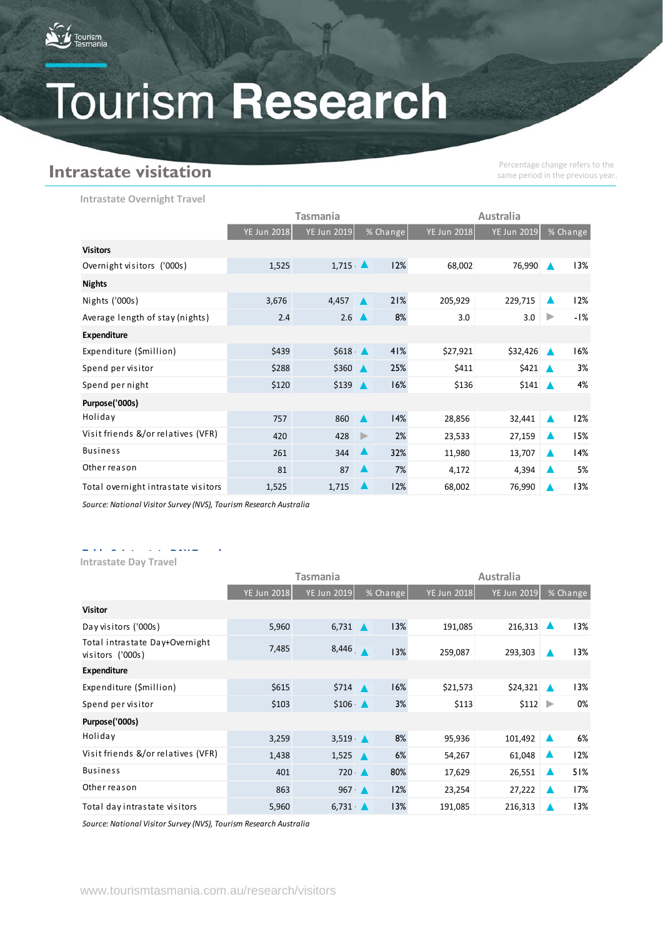

## **Intrastate visitation**

Percentage change refers to the same period in the previous year.

**Intrastate Overnight Travel** 

|                                     |             | Tasmania    | Australia        |          |                    |                       |    |          |
|-------------------------------------|-------------|-------------|------------------|----------|--------------------|-----------------------|----|----------|
|                                     | YE Jun 2018 | YE Jun 2019 |                  | % Change | <b>YE Jun 2018</b> | <b>YE Jun 2019</b>    |    | % Change |
| <b>Visitors</b>                     |             |             |                  |          |                    |                       |    |          |
| Overnight visitors ('000s)          | 1,525       | 1,715       | $\blacktriangle$ | 12%      | 68,002             | 76,990                |    | 13%      |
| <b>Nights</b>                       |             |             |                  |          |                    |                       |    |          |
| Nights ('000s)                      | 3,676       | 4,457       | $\blacktriangle$ | 21%      | 205,929            | $229,715$ $\triangle$ |    | 12%      |
| Average length of stay (nights)     | 2.4         | 2.6         | <b>A</b>         | 8%       | 3.0                | 3.0                   |    | -1%      |
| <b>Expenditure</b>                  |             |             |                  |          |                    |                       |    |          |
| Expenditure (\$million)             | \$439       | \$618       | $\blacktriangle$ | 41%      | \$27,921           | \$32,426              |    | 16%      |
| Spend per visitor                   | \$288       | \$360       | $\blacktriangle$ | 25%      | \$411              | \$421                 |    | 3%       |
| Spend per night                     | \$120       | \$139       | $\blacktriangle$ | 16%      | \$136              | \$141                 |    | 4%       |
| Purpose('000s)                      |             |             |                  |          |                    |                       |    |          |
| Holiday                             | 757         | 860         | $\blacktriangle$ | 14%      | 28,856             | 32,441                | ŀА | 12%      |
| Visit friends &/or relatives (VFR)  | 420         | 428         | $\mathbf{D}$     | 2%       | 23,533             | 27,159                |    | 15%      |
| <b>Business</b>                     | 261         | 344         |                  | 32%      | 11,980             | 13,707                |    | 14%      |
| Other reason                        | 81          | 87          |                  | 7%       | 4,172              | 4,394                 |    | 5%       |
| Total overnight intrastate visitors | 1,525       | 1,715       |                  | 12%      | 68,002             | 76,990                |    | 13%      |

*Source: National Visitor Survey (NVS), Tourism Research Australia*

## **Table 9. Intrastate DAY Travel Intrastate Day Travel**

|                                                    |             | Tasmania            | Australia        |          |                    |                         |  |          |
|----------------------------------------------------|-------------|---------------------|------------------|----------|--------------------|-------------------------|--|----------|
|                                                    | YE Jun 2018 | <b>YE Jun 2019</b>  |                  | % Change | <b>YE Jun 2018</b> | <b>YE Jun 2019</b>      |  | % Change |
| <b>Visitor</b>                                     |             |                     |                  |          |                    |                         |  |          |
| Day visitors ('000s)                               | 5,960       | 6,731               |                  | 13%      | 191,085            | 216,313                 |  | 13%      |
| Total intrastate Day+Overnight<br>visitors ('000s) | 7,485       | 8,446               |                  | 13%      | 259,087            | 293,303                 |  | 13%      |
| <b>Expenditure</b>                                 |             |                     |                  |          |                    |                         |  |          |
| Expenditure (\$million)                            | \$615       | \$714               | ▲                | 16%      | \$21,573           | \$24,321                |  | 13%      |
| Spend per visitor                                  | \$103       | \$106               | $\blacktriangle$ | 3%       | \$113              | $$112$ $\triangleright$ |  | 0%       |
| Purpose('000s)                                     |             |                     |                  |          |                    |                         |  |          |
| Holiday                                            | 3,259       | $3,519$ $\triangle$ |                  | 8%       | 95,936             | 101,492                 |  | 6%       |
| Visit friends &/or relatives (VFR)                 | 1,438       | 1,525               | ▲                | 6%       | 54,267             | 61,048                  |  | 12%      |
| <b>Business</b>                                    | 401         | 720                 |                  | 80%      | 17,629             | 26,551                  |  | 51%      |
| Other reason                                       | 863         | 967                 | $\blacktriangle$ | 12%      | 23,254             | 27,222                  |  | 17%      |
| Total day intrastate visitors                      | 5,960       | 6,731               |                  | 13%      | 191,085            | 216,313                 |  | 13%      |

*Source: National Visitor Survey (NVS), Tourism Research Australia*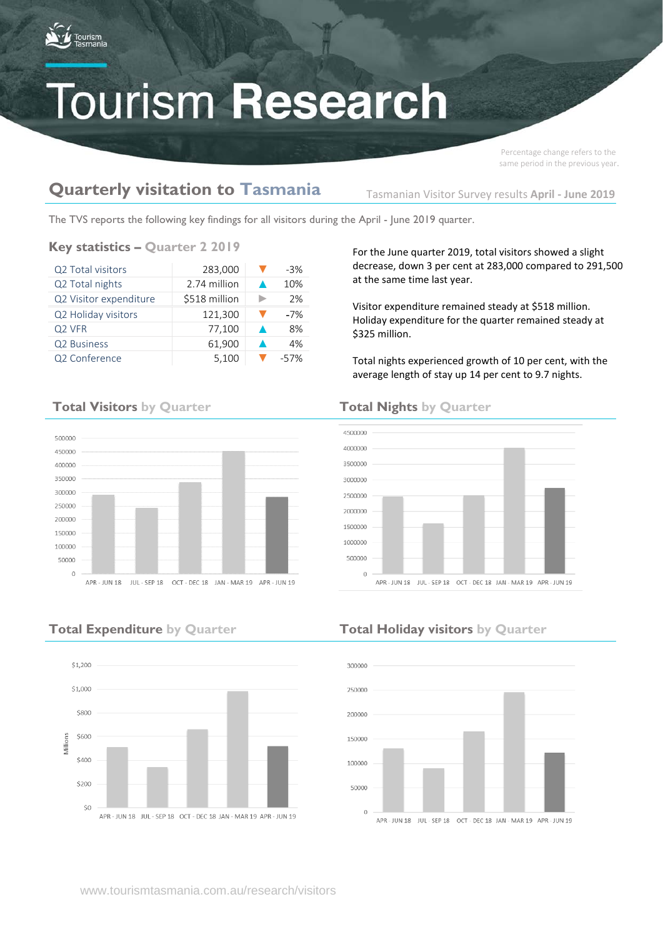

Percentage change refers to the same period in the previous year.

## **Quarterly visitation to Tasmania**

Tasmanian Visitor Survey results **April - June 2019**

The TVS reports the following key findings for all visitors during the April - June 2019 quarter.

### **Key statistics – Quarter 2 2019**

| Q2 Total visitors      | 283,000       | $-3%$ |
|------------------------|---------------|-------|
| Q2 Total nights        | 2.74 million  | 10%   |
| Q2 Visitor expenditure | \$518 million | 2%    |
| Q2 Holiday visitors    | 121,300       | $-7%$ |
| Q <sub>2</sub> VFR     | 77,100        | 8%    |
| Q2 Business            | 61,900        | 4%    |
| Q2 Conference          | 5,100         | -57%  |

For the June quarter 2019, total visitors showed a slight decrease, down 3 per cent at 283,000 compared to 291,500 at the same time last year.

Visitor expenditure remained steady at \$518 million. Holiday expenditure for the quarter remained steady at \$325 million.

Total nights experienced growth of 10 per cent, with the average length of stay up 14 per cent to 9.7 nights.





IIII - SEP 18 OCT - DEC 18 IAN - MAR 19 APR - IIIN 19

## **Total Expenditure by Quarter Total Holiday visitors by Quarter**



## **Total Visitors by Quarter Total Nights by Quarter**

500000

450000 400000

350000

300000

250000

200000

150000

100000

50000  $\Omega$ 

 $\triangle PR = HIN 1R$